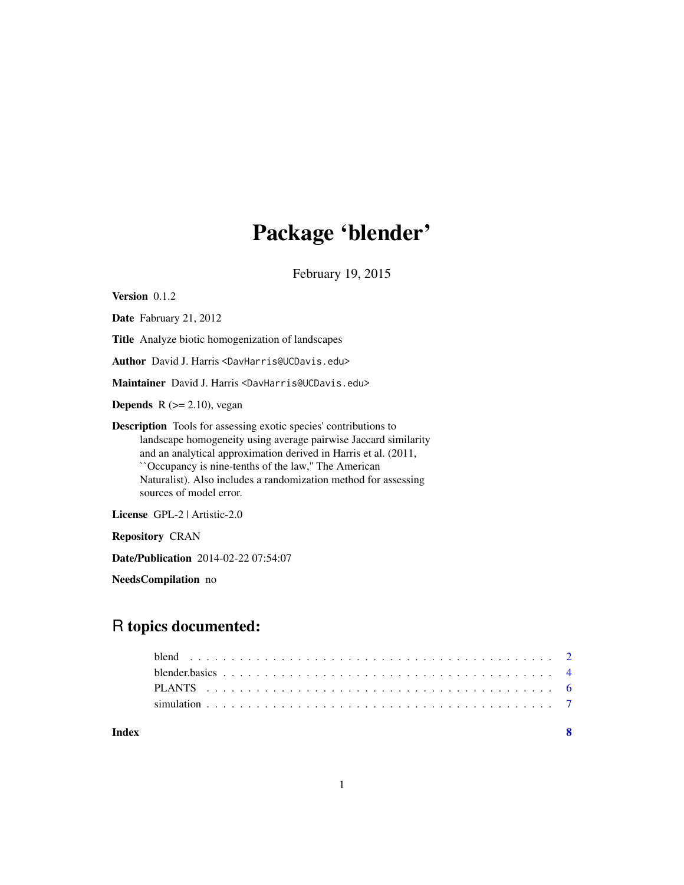## Package 'blender'

February 19, 2015

<span id="page-0-0"></span>Version 0.1.2

Date Fabruary 21, 2012

Title Analyze biotic homogenization of landscapes

Author David J. Harris <DavHarris@UCDavis.edu>

Maintainer David J. Harris <DavHarris@UCDavis.edu>

**Depends**  $R$  ( $>= 2.10$ ), vegan

Description Tools for assessing exotic species' contributions to landscape homogeneity using average pairwise Jaccard similarity and an analytical approximation derived in Harris et al. (2011, ``Occupancy is nine-tenths of the law,'' The American Naturalist). Also includes a randomization method for assessing sources of model error.

License GPL-2 | Artistic-2.0

Repository CRAN

Date/Publication 2014-02-22 07:54:07

NeedsCompilation no

## R topics documented:

| blender, basics $\ldots$ , $\ldots$ , $\ldots$ , $\ldots$ , $\ldots$ , $\ldots$ , $\ldots$ , $\ldots$ , $\ldots$ , $\ldots$ , $\ldots$ , $\qquad$ 4 |  |
|-----------------------------------------------------------------------------------------------------------------------------------------------------|--|
|                                                                                                                                                     |  |
|                                                                                                                                                     |  |
|                                                                                                                                                     |  |

**Index** [8](#page-7-0) **8**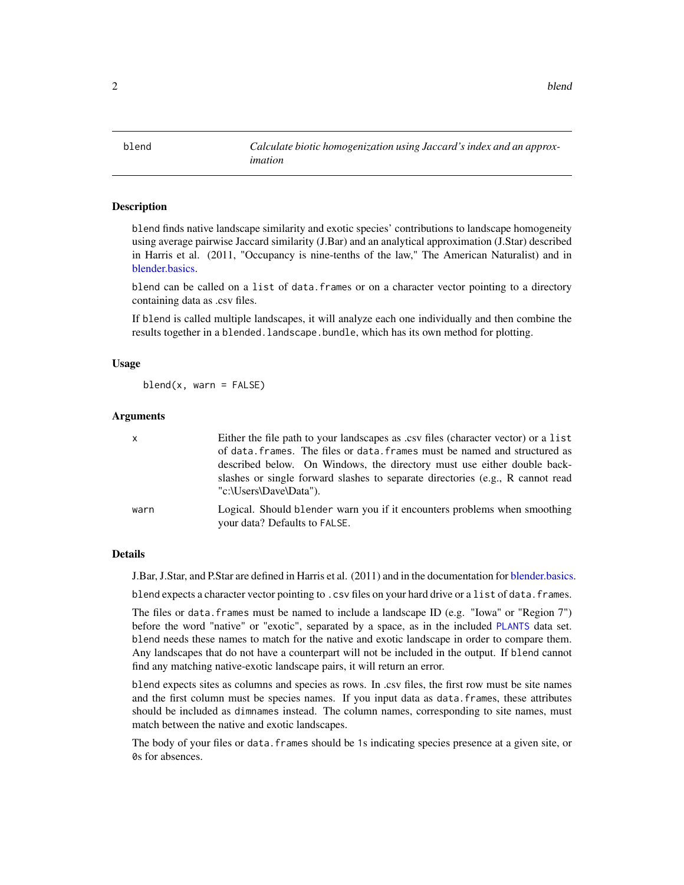<span id="page-1-0"></span> $2$  blend  $\blacksquare$ 

<span id="page-1-1"></span>blend *Calculate biotic homogenization using Jaccard's index and an approximation*

## **Description**

blend finds native landscape similarity and exotic species' contributions to landscape homogeneity using average pairwise Jaccard similarity (J.Bar) and an analytical approximation (J.Star) described in Harris et al. (2011, "Occupancy is nine-tenths of the law," The American Naturalist) and in [blender.basics.](#page-3-1)

blend can be called on a list of data.frames or on a character vector pointing to a directory containing data as .csv files.

If blend is called multiple landscapes, it will analyze each one individually and then combine the results together in a blended.landscape.bundle, which has its own method for plotting.

## Usage

 $blend(x, warn = FALSE)$ 

#### Arguments

| $\mathsf{x}$ | Either the file path to your landscapes as .csv files (character vector) or a list<br>of data. frames. The files or data. frames must be named and structured as |
|--------------|------------------------------------------------------------------------------------------------------------------------------------------------------------------|
|              | described below. On Windows, the directory must use either double back-                                                                                          |
|              | slashes or single forward slashes to separate directories (e.g., R cannot read<br>"c:\Users\Dave\Data").                                                         |
| warn         | Logical. Should blender warn you if it encounters problems when smoothing<br>your data? Defaults to FALSE.                                                       |

#### Details

J.Bar, J.Star, and P.Star are defined in Harris et al. (2011) and in the documentation for [blender.basics.](#page-3-1)

blend expects a character vector pointing to .csv files on your hard drive or a list of data.frames.

The files or data. frames must be named to include a landscape ID (e.g. "Iowa" or "Region 7") before the word "native" or "exotic", separated by a space, as in the included [PLANTS](#page-5-1) data set. blend needs these names to match for the native and exotic landscape in order to compare them. Any landscapes that do not have a counterpart will not be included in the output. If blend cannot find any matching native-exotic landscape pairs, it will return an error.

blend expects sites as columns and species as rows. In .csv files, the first row must be site names and the first column must be species names. If you input data as data.frames, these attributes should be included as dimnames instead. The column names, corresponding to site names, must match between the native and exotic landscapes.

The body of your files or data.frames should be 1s indicating species presence at a given site, or 0s for absences.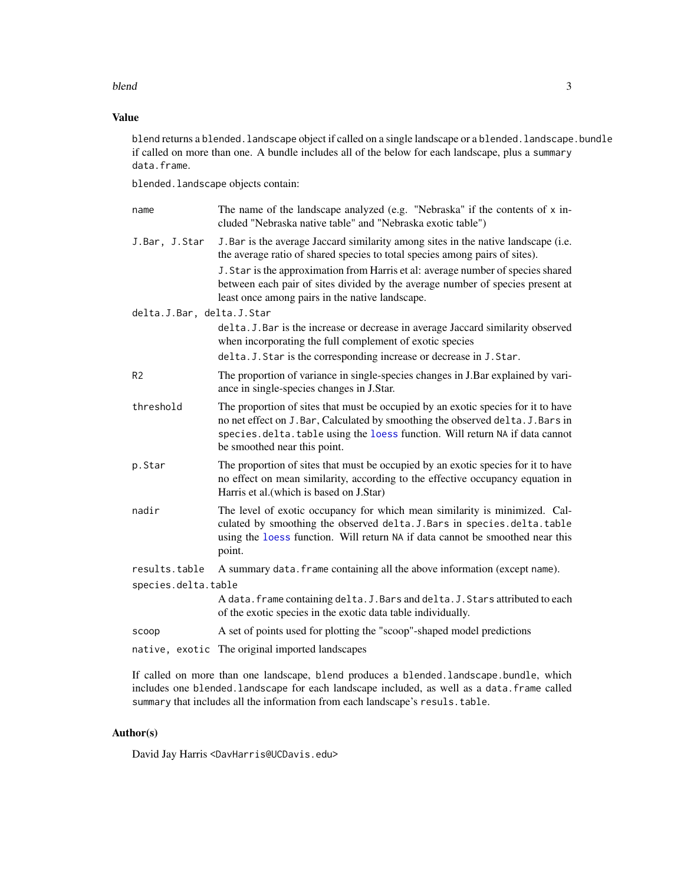## <span id="page-2-0"></span>blend 3

## Value

blend returns a blended. landscape object if called on a single landscape or a blended. landscape. bundle if called on more than one. A bundle includes all of the below for each landscape, plus a summary data.frame.

blended.landscape objects contain:

| name                      | The name of the landscape analyzed (e.g. "Nebraska" if the contents of x in-<br>cluded "Nebraska native table" and "Nebraska exotic table")                                                                                                                                         |
|---------------------------|-------------------------------------------------------------------------------------------------------------------------------------------------------------------------------------------------------------------------------------------------------------------------------------|
| J.Bar, J.Star             | J. Bar is the average Jaccard similarity among sites in the native landscape (i.e.<br>the average ratio of shared species to total species among pairs of sites).                                                                                                                   |
|                           | J. Star is the approximation from Harris et al: average number of species shared<br>between each pair of sites divided by the average number of species present at<br>least once among pairs in the native landscape.                                                               |
| delta.J.Bar, delta.J.Star |                                                                                                                                                                                                                                                                                     |
|                           | delta. J. Bar is the increase or decrease in average Jaccard similarity observed<br>when incorporating the full complement of exotic species                                                                                                                                        |
|                           | delta. J. Star is the corresponding increase or decrease in J. Star.                                                                                                                                                                                                                |
| R <sub>2</sub>            | The proportion of variance in single-species changes in J.Bar explained by vari-<br>ance in single-species changes in J.Star.                                                                                                                                                       |
| threshold                 | The proportion of sites that must be occupied by an exotic species for it to have<br>no net effect on J. Bar, Calculated by smoothing the observed delta. J. Bars in<br>species.delta.table using the loess function. Will return NA if data cannot<br>be smoothed near this point. |
| p.Star                    | The proportion of sites that must be occupied by an exotic species for it to have<br>no effect on mean similarity, according to the effective occupancy equation in<br>Harris et al. (which is based on J.Star)                                                                     |
| nadir                     | The level of exotic occupancy for which mean similarity is minimized. Cal-<br>culated by smoothing the observed delta. J. Bars in species. delta. table<br>using the loess function. Will return NA if data cannot be smoothed near this<br>point.                                  |
| results.table             | A summary data. frame containing all the above information (except name).                                                                                                                                                                                                           |
| species.delta.table       |                                                                                                                                                                                                                                                                                     |
|                           | A data. frame containing delta. J. Bars and delta. J. Stars attributed to each<br>of the exotic species in the exotic data table individually.                                                                                                                                      |
| scoop                     | A set of points used for plotting the "scoop"-shaped model predictions                                                                                                                                                                                                              |
|                           | native, exotic The original imported landscapes                                                                                                                                                                                                                                     |

If called on more than one landscape, blend produces a blended.landscape.bundle, which includes one blended.landscape for each landscape included, as well as a data.frame called summary that includes all the information from each landscape's resuls.table.

## Author(s)

David Jay Harris <DavHarris@UCDavis.edu>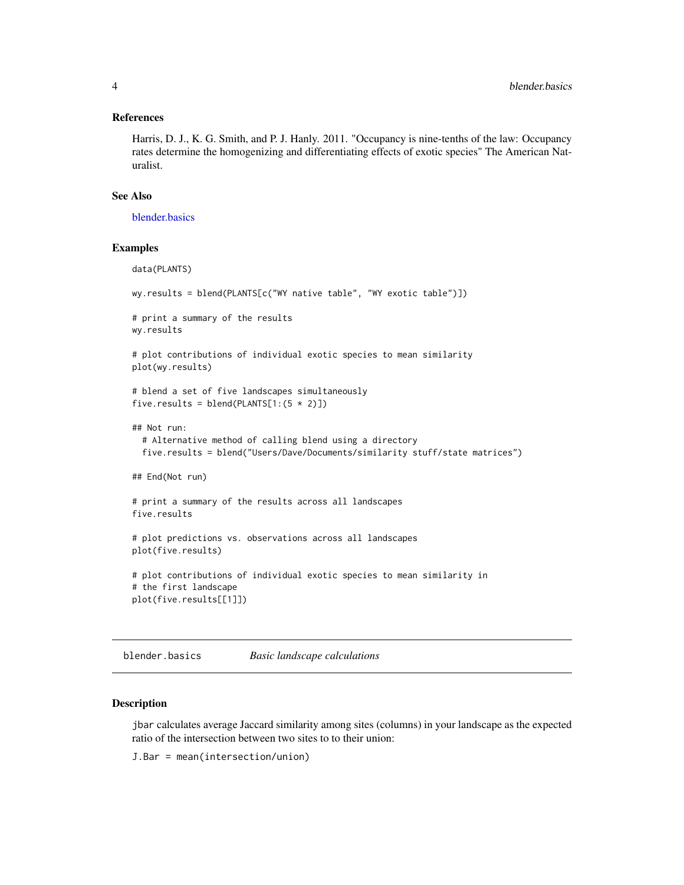#### <span id="page-3-0"></span>References

Harris, D. J., K. G. Smith, and P. J. Hanly. 2011. "Occupancy is nine-tenths of the law: Occupancy rates determine the homogenizing and differentiating effects of exotic species" The American Naturalist.

## See Also

[blender.basics](#page-3-1)

#### Examples

```
data(PLANTS)
wy.results = blend(PLANTS[c("WY native table", "WY exotic table")])
# print a summary of the results
wy.results
# plot contributions of individual exotic species to mean similarity
plot(wy.results)
# blend a set of five landscapes simultaneously
five.results = blend(PLANTS[1:(5 * 2)])
## Not run:
 # Alternative method of calling blend using a directory
 five.results = blend("Users/Dave/Documents/similarity stuff/state matrices")
## End(Not run)
# print a summary of the results across all landscapes
five.results
# plot predictions vs. observations across all landscapes
plot(five.results)
# plot contributions of individual exotic species to mean similarity in
# the first landscape
plot(five.results[[1]])
```
<span id="page-3-1"></span>blender.basics *Basic landscape calculations*

#### Description

jbar calculates average Jaccard similarity among sites (columns) in your landscape as the expected ratio of the intersection between two sites to to their union:

J.Bar = mean(intersection/union)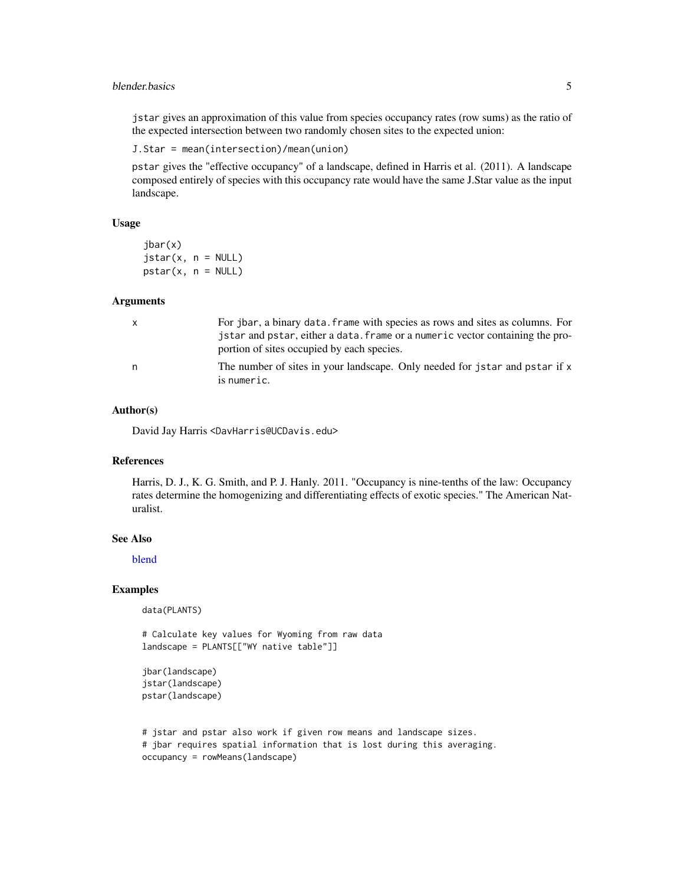## <span id="page-4-0"></span>blender.basics 5

jstar gives an approximation of this value from species occupancy rates (row sums) as the ratio of the expected intersection between two randomly chosen sites to the expected union:

```
J.Star = mean(intersection)/mean(union)
```
pstar gives the "effective occupancy" of a landscape, defined in Harris et al. (2011). A landscape composed entirely of species with this occupancy rate would have the same J.Star value as the input landscape.

## Usage

jbar(x)  $jstar(x, n = NULL)$  $pstar(x, n = NULL)$ 

## Arguments

| $\mathsf{X}$ | For jbar, a binary data. frame with species as rows and sites as columns. For<br>jstar and pstar, either a data. frame or a numeric vector containing the pro-<br>portion of sites occupied by each species. |
|--------------|--------------------------------------------------------------------------------------------------------------------------------------------------------------------------------------------------------------|
| n.           | The number of sites in your landscape. Only needed for jstar and pstar if x<br>is numeric.                                                                                                                   |

## Author(s)

David Jay Harris <DavHarris@UCDavis.edu>

## References

Harris, D. J., K. G. Smith, and P. J. Hanly. 2011. "Occupancy is nine-tenths of the law: Occupancy rates determine the homogenizing and differentiating effects of exotic species." The American Naturalist.

## See Also

[blend](#page-1-1)

## Examples

data(PLANTS)

# Calculate key values for Wyoming from raw data landscape = PLANTS[["WY native table"]]

```
jbar(landscape)
jstar(landscape)
pstar(landscape)
```

```
# jstar and pstar also work if given row means and landscape sizes.
# jbar requires spatial information that is lost during this averaging.
occupancy = rowMeans(landscape)
```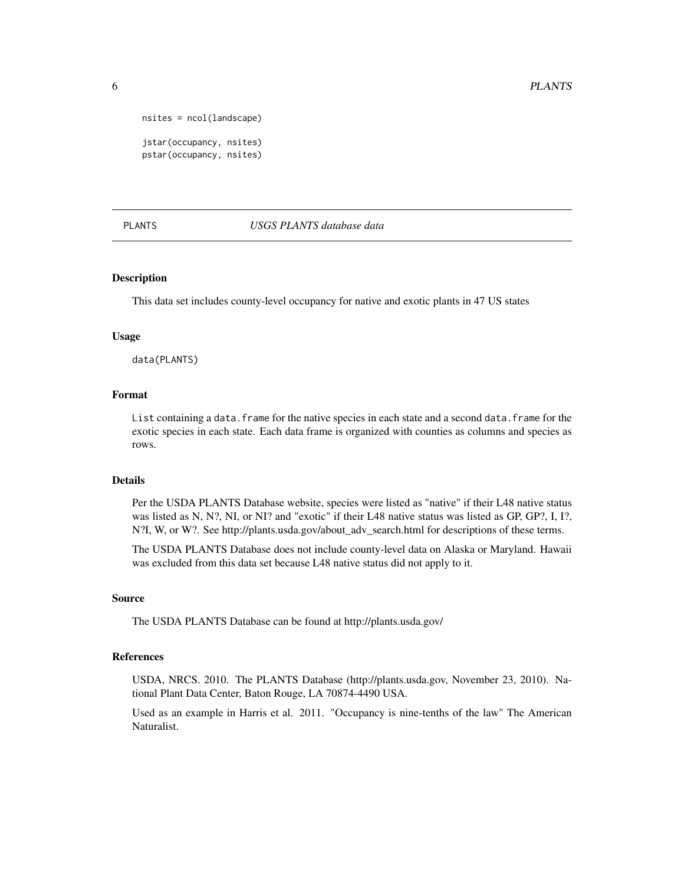```
nsites = ncol(landscape)
jstar(occupancy, nsites)
pstar(occupancy, nsites)
```
#### <span id="page-5-1"></span>PLANTS *USGS PLANTS database data*

## Description

This data set includes county-level occupancy for native and exotic plants in 47 US states

#### Usage

data(PLANTS)

#### Format

List containing a data.frame for the native species in each state and a second data.frame for the exotic species in each state. Each data frame is organized with counties as columns and species as rows.

## Details

Per the USDA PLANTS Database website, species were listed as "native" if their L48 native status was listed as N, N?, NI, or NI? and "exotic" if their L48 native status was listed as GP, GP?, I, I?, N?I, W, or W?. See http://plants.usda.gov/about\_adv\_search.html for descriptions of these terms.

The USDA PLANTS Database does not include county-level data on Alaska or Maryland. Hawaii was excluded from this data set because L48 native status did not apply to it.

#### Source

The USDA PLANTS Database can be found at http://plants.usda.gov/

## References

USDA, NRCS. 2010. The PLANTS Database (http://plants.usda.gov, November 23, 2010). National Plant Data Center, Baton Rouge, LA 70874-4490 USA.

Used as an example in Harris et al. 2011. "Occupancy is nine-tenths of the law" The American Naturalist.

<span id="page-5-0"></span>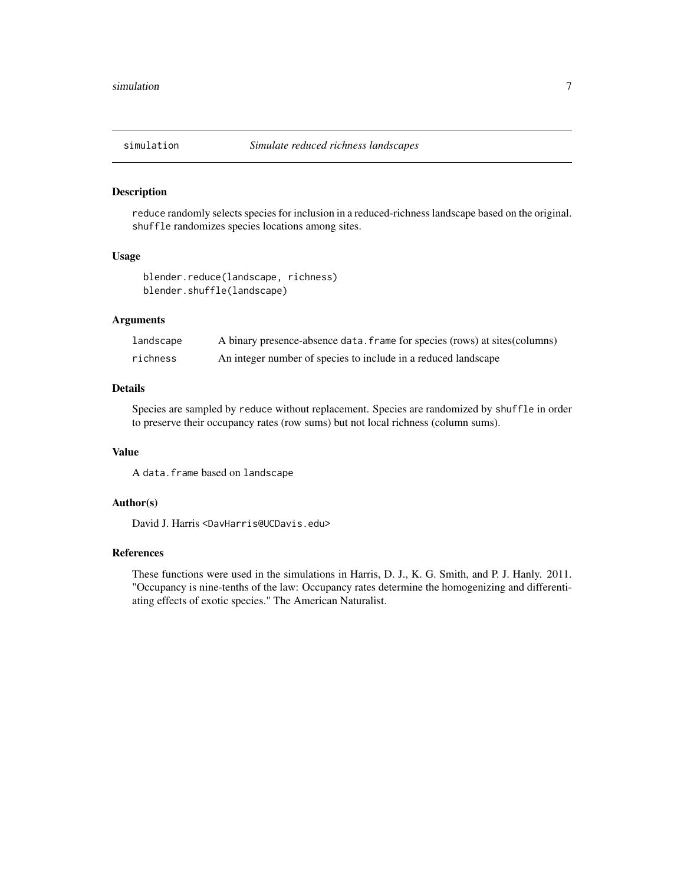<span id="page-6-0"></span>

## Description

reduce randomly selects species for inclusion in a reduced-richness landscape based on the original. shuffle randomizes species locations among sites.

#### Usage

```
blender.reduce(landscape, richness)
blender.shuffle(landscape)
```
## Arguments

| landscape | A binary presence-absence data. frame for species (rows) at sites (columns) |
|-----------|-----------------------------------------------------------------------------|
| richness  | An integer number of species to include in a reduced landscape              |

## Details

Species are sampled by reduce without replacement. Species are randomized by shuffle in order to preserve their occupancy rates (row sums) but not local richness (column sums).

## Value

A data.frame based on landscape

## Author(s)

David J. Harris <DavHarris@UCDavis.edu>

## References

These functions were used in the simulations in Harris, D. J., K. G. Smith, and P. J. Hanly. 2011. "Occupancy is nine-tenths of the law: Occupancy rates determine the homogenizing and differentiating effects of exotic species." The American Naturalist.